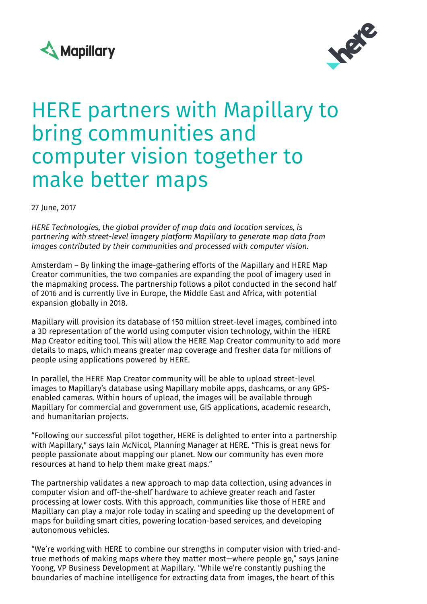



## HERE partners with Mapillary to bring communities and computer vision together to make better maps

27 June, 2017

*HERE Technologies, the global provider of map data and location services, is partnering with street-level imagery platform Mapillary to generate map data from images contributed by their communities and processed with computer vision.*

Amsterdam – By linking the image-gathering efforts of the Mapillary and HERE Map Creator communities, the two companies are expanding the pool of imagery used in the mapmaking process. The partnership follows a pilot conducted in the second half of 2016 and is currently live in Europe, the Middle East and Africa, with potential expansion globally in 2018.

Mapillary will provision its database of 150 million street-level images, combined into a 3D representation of the world using computer vision technology, within the HERE Map Creator editing tool. This will allow the HERE Map Creator community to add more details to maps, which means greater map coverage and fresher data for millions of people using applications powered by HERE.

In parallel, the HERE Map Creator community will be able to upload street-level images to Mapillary's database using Mapillary mobile apps, dashcams, or any GPSenabled cameras. Within hours of upload, the images will be available through Mapillary for commercial and government use, GIS applications, academic research, and humanitarian projects.

"Following our successful pilot together, HERE is delighted to enter into a partnership with Mapillary," says Iain McNicol, Planning Manager at HERE. "This is great news for people passionate about mapping our planet. Now our community has even more resources at hand to help them make great maps."

The partnership validates a new approach to map data collection, using advances in computer vision and off-the-shelf hardware to achieve greater reach and faster processing at lower costs. With this approach, communities like those of HERE and Mapillary can play a major role today in scaling and speeding up the development of maps for building smart cities, powering location-based services, and developing autonomous vehicles.

"We're working with HERE to combine our strengths in computer vision with tried-andtrue methods of making maps where they matter most—where people go," says Janine Yoong, VP Business Development at Mapillary. "While we're constantly pushing the boundaries of machine intelligence for extracting data from images, the heart of this